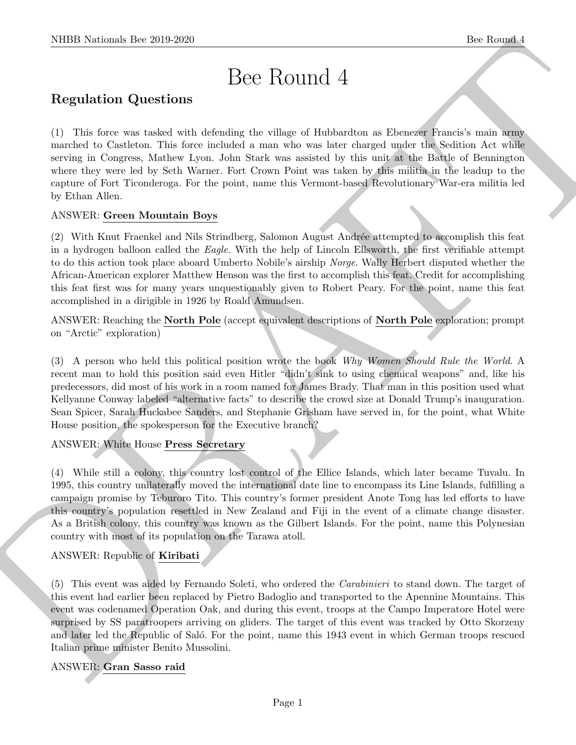# Bee Round 4

# Regulation Questions

(1) This force was tasked with defending the village of Hubbardton as Ebenezer Francis's main army marched to Castleton. This force included a man who was later charged under the Sedition Act while serving in Congress, Mathew Lyon. John Stark was assisted by this unit at the Battle of Bennington where they were led by Seth Warner. Fort Crown Point was taken by this militia in the leadup to the capture of Fort Ticonderoga. For the point, name this Vermont-based Revolutionary War-era militia led by Ethan Allen.

## ANSWER: Green Mountain Boys

(2) With Knut Fraenkel and Nils Strindberg, Salomon August Andrée attempted to accomplish this feat in a hydrogen balloon called the Eagle. With the help of Lincoln Ellsworth, the first verifiable attempt to do this action took place aboard Umberto Nobile's airship Norge. Wally Herbert disputed whether the African-American explorer Matthew Henson was the first to accomplish this feat. Credit for accomplishing this feat first was for many years unquestionably given to Robert Peary. For the point, name this feat accomplished in a dirigible in 1926 by Roald Amundsen.

ANSWER: Reaching the North Pole (accept equivalent descriptions of North Pole exploration; prompt on "Arctic" exploration)

(3) A person who held this political position wrote the book Why Women Should Rule the World. A recent man to hold this position said even Hitler "didn't sink to using chemical weapons" and, like his predecessors, did most of his work in a room named for James Brady. That man in this position used what Kellyanne Conway labeled "alternative facts" to describe the crowd size at Donald Trump's inauguration. Sean Spicer, Sarah Huckabee Sanders, and Stephanie Grisham have served in, for the point, what White House position, the spokesperson for the Executive branch?

## ANSWER: White House Press Secretary

NEED Noticeals line 2019.269.<br>
Dec Routini 4<br>
Regulation Questions<br>
C. 2016 keep we taken wis defining the village of interesting a Electron Control and a sub-<br>
complete the second state wise density and the second by the (4) While still a colony, this country lost control of the Ellice Islands, which later became Tuvalu. In 1995, this country unilaterally moved the international date line to encompass its Line Islands, fulfilling a campaign promise by Teburoro Tito. This country's former president Anote Tong has led efforts to have this country's population resettled in New Zealand and Fiji in the event of a climate change disaster. As a British colony, this country was known as the Gilbert Islands. For the point, name this Polynesian country with most of its population on the Tarawa atoll.

## ANSWER: Republic of Kiribati

(5) This event was aided by Fernando Soleti, who ordered the Carabinieri to stand down. The target of this event had earlier been replaced by Pietro Badoglio and transported to the Apennine Mountains. This event was codenamed Operation Oak, and during this event, troops at the Campo Imperatore Hotel were surprised by SS paratroopers arriving on gliders. The target of this event was tracked by Otto Skorzeny and later led the Republic of Saló. For the point, name this 1943 event in which German troops rescued Italian prime minister Benito Mussolini.

## ANSWER: Gran Sasso raid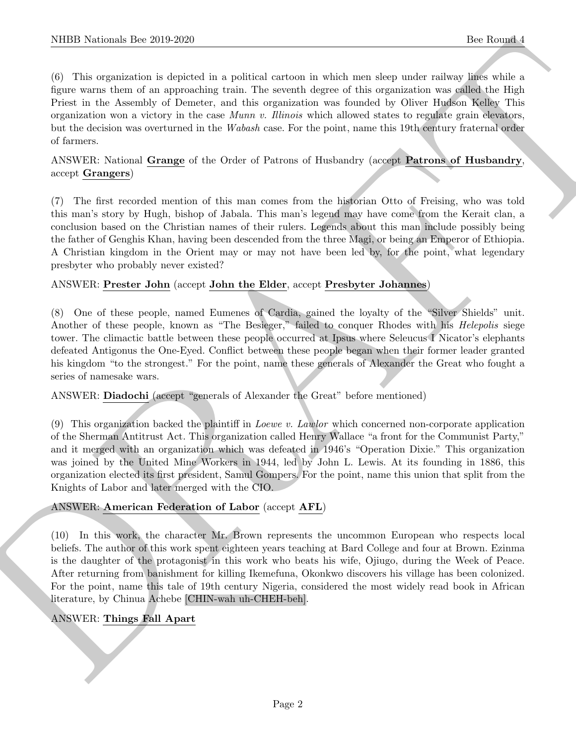NIBB Noticeals line 200 200<br>
(i) like terminal is englished to a reddictal case of the other in which case and<br>a radio of the control of the second of the control of the control of<br>the second of the Control of the second (6) This organization is depicted in a political cartoon in which men sleep under railway lines while a figure warns them of an approaching train. The seventh degree of this organization was called the High Priest in the Assembly of Demeter, and this organization was founded by Oliver Hudson Kelley This organization won a victory in the case *Munn v. Illinois* which allowed states to regulate grain elevators, but the decision was overturned in the Wabash case. For the point, name this 19th century fraternal order of farmers.

ANSWER: National Grange of the Order of Patrons of Husbandry (accept Patrons of Husbandry, accept Grangers)

(7) The first recorded mention of this man comes from the historian Otto of Freising, who was told this man's story by Hugh, bishop of Jabala. This man's legend may have come from the Kerait clan, a conclusion based on the Christian names of their rulers. Legends about this man include possibly being the father of Genghis Khan, having been descended from the three Magi, or being an Emperor of Ethiopia. A Christian kingdom in the Orient may or may not have been led by, for the point, what legendary presbyter who probably never existed?

## ANSWER: Prester John (accept John the Elder, accept Presbyter Johannes)

(8) One of these people, named Eumenes of Cardia, gained the loyalty of the "Silver Shields" unit. Another of these people, known as "The Besieger," failed to conquer Rhodes with his *Helepolis* siege tower. The climactic battle between these people occurred at Ipsus where Seleucus I Nicator's elephants defeated Antigonus the One-Eyed. Conflict between these people began when their former leader granted his kingdom "to the strongest." For the point, name these generals of Alexander the Great who fought a series of namesake wars.

ANSWER: Diadochi (accept "generals of Alexander the Great" before mentioned)

(9) This organization backed the plaintiff in Loewe v. Lawlor which concerned non-corporate application of the Sherman Antitrust Act. This organization called Henry Wallace "a front for the Communist Party," and it merged with an organization which was defeated in 1946's "Operation Dixie." This organization was joined by the United Mine Workers in 1944, led by John L. Lewis. At its founding in 1886, this organization elected its first president, Samul Gompers. For the point, name this union that split from the Knights of Labor and later merged with the CIO.

## ANSWER: American Federation of Labor (accept AFL)

(10) In this work, the character Mr. Brown represents the uncommon European who respects local beliefs. The author of this work spent eighteen years teaching at Bard College and four at Brown. Ezinma is the daughter of the protagonist in this work who beats his wife, Ojiugo, during the Week of Peace. After returning from banishment for killing Ikemefuna, Okonkwo discovers his village has been colonized. For the point, name this tale of 19th century Nigeria, considered the most widely read book in African literature, by Chinua Achebe [CHIN-wah uh-CHEH-beh].

## ANSWER: Things Fall Apart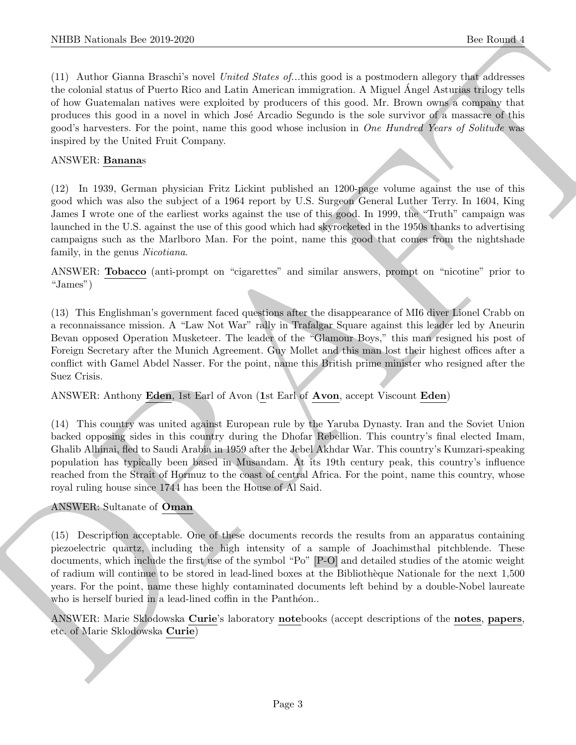NIBB Noticeals line 200 200<br>
(1) Antius distance line 200 200<br>
(1) Antius distance of University and Collect Scale of this produce is possible shown that a first control in<br>the collect state of the collection of the Anert (11) Author Gianna Braschi's novel United States of...this good is a postmodern allegory that addresses the colonial status of Puerto Rico and Latin American immigration. A Miguel Angel Asturias trilogy tells ´ of how Guatemalan natives were exploited by producers of this good. Mr. Brown owns a company that produces this good in a novel in which Jos´e Arcadio Segundo is the sole survivor of a massacre of this good's harvesters. For the point, name this good whose inclusion in One Hundred Years of Solitude was inspired by the United Fruit Company.

#### ANSWER: Bananas

(12) In 1939, German physician Fritz Lickint published an 1200-page volume against the use of this good which was also the subject of a 1964 report by U.S. Surgeon General Luther Terry. In 1604, King James I wrote one of the earliest works against the use of this good. In 1999, the "Truth" campaign was launched in the U.S. against the use of this good which had skyrocketed in the 1950s thanks to advertising campaigns such as the Marlboro Man. For the point, name this good that comes from the nightshade family, in the genus Nicotiana.

ANSWER: Tobacco (anti-prompt on "cigarettes" and similar answers, prompt on "nicotine" prior to "James")

(13) This Englishman's government faced questions after the disappearance of MI6 diver Lionel Crabb on a reconnaissance mission. A "Law Not War" rally in Trafalgar Square against this leader led by Aneurin Bevan opposed Operation Musketeer. The leader of the "Glamour Boys," this man resigned his post of Foreign Secretary after the Munich Agreement. Guy Mollet and this man lost their highest offices after a conflict with Gamel Abdel Nasser. For the point, name this British prime minister who resigned after the Suez Crisis.

ANSWER: Anthony Eden, 1st Earl of Avon (1st Earl of Avon, accept Viscount Eden)

(14) This country was united against European rule by the Yaruba Dynasty. Iran and the Soviet Union backed opposing sides in this country during the Dhofar Rebellion. This country's final elected Imam, Ghalib Alhinai, fled to Saudi Arabia in 1959 after the Jebel Akhdar War. This country's Kumzari-speaking population has typically been based in Musandam. At its 19th century peak, this country's influence reached from the Strait of Hormuz to the coast of central Africa. For the point, name this country, whose royal ruling house since 1744 has been the House of Al Said.

## ANSWER: Sultanate of Oman

(15) Description acceptable. One of these documents records the results from an apparatus containing piezoelectric quartz, including the high intensity of a sample of Joachimsthal pitchblende. These documents, which include the first use of the symbol "Po" [P-O] and detailed studies of the atomic weight of radium will continue to be stored in lead-lined boxes at the Biblioth`eque Nationale for the next 1,500 years. For the point, name these highly contaminated documents left behind by a double-Nobel laureate who is herself buried in a lead-lined coffin in the Panthéon..

ANSWER: Marie Sklodowska Curie's laboratory notebooks (accept descriptions of the notes, papers, etc. of Marie Sklodowska Curie)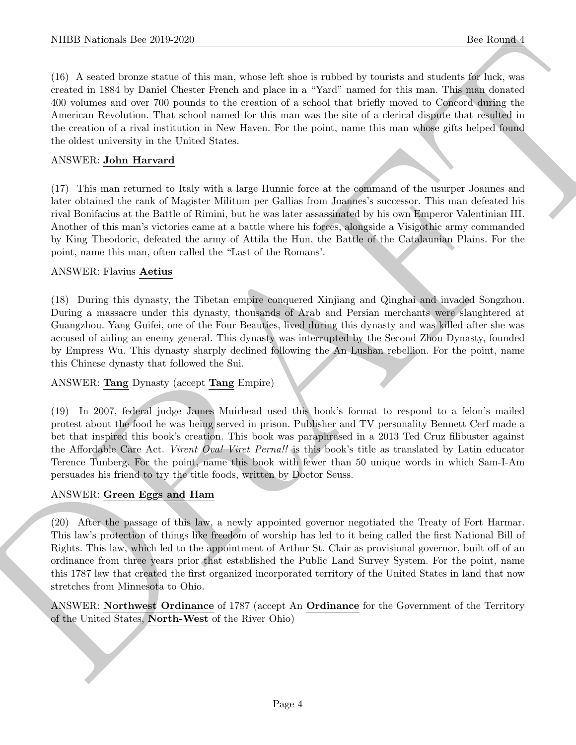(16) A seated bronze statue of this man, whose left shoe is rubbed by tourists and students for luck, was created in 1884 by Daniel Chester French and place in a "Yard" named for this man. This man donated 400 volumes and over 700 pounds to the creation of a school that briefly moved to Concord during the American Revolution. That school named for this man was the site of a clerical dispute that resulted in the creation of a rival institution in New Haven. For the point, name this man whose gifts helped found the oldest university in the United States.

## ANSWER: John Harvard

(17) This man returned to Italy with a large Hunnic force at the command of the usurper Joannes and later obtained the rank of Magister Militum per Gallias from Joannes's successor. This man defeated his rival Bonifacius at the Battle of Rimini, but he was later assassinated by his own Emperor Valentinian III. Another of this man's victories came at a battle where his forces, alongside a Visigothic army commanded by King Theodoric, defeated the army of Attila the Hun, the Battle of the Catalaunian Plains. For the point, name this man, often called the "Last of the Romans'.

#### ANSWER: Flavius Aetius

(18) During this dynasty, the Tibetan empire conquered Xinjiang and Qinghai and invaded Songzhou. During a massacre under this dynasty, thousands of Arab and Persian merchants were slaughtered at Guangzhou. Yang Guifei, one of the Four Beauties, lived during this dynasty and was killed after she was accused of aiding an enemy general. This dynasty was interrupted by the Second Zhou Dynasty, founded by Empress Wu. This dynasty sharply declined following the An Lushan rebellion. For the point, name this Chinese dynasty that followed the Sui.

#### ANSWER: Tang Dynasty (accept Tang Empire)

(19) In 2007, federal judge James Muirhead used this book's format to respond to a felon's mailed protest about the food he was being served in prison. Publisher and TV personality Bennett Cerf made a bet that inspired this book's creation. This book was paraphrased in a 2013 Ted Cruz filibuster against the Affordable Care Act. Virent Ova! Viret Perna!! is this book's title as translated by Latin educator Terence Tunberg. For the point, name this book with fewer than 50 unique words in which Sam-I-Am persuades his friend to try the title foods, written by Doctor Seuss.

#### ANSWER: Green Eggs and Ham

NIBB Noticeals line 2019.229<br>
(3) Associated the same scheme follows in rather by the star and the formulation of the star and the star and the star<br>
(3) Associated the star and the star and the star and the star and the (20) After the passage of this law, a newly appointed governor negotiated the Treaty of Fort Harmar. This law's protection of things like freedom of worship has led to it being called the first National Bill of Rights. This law, which led to the appointment of Arthur St. Clair as provisional governor, built off of an ordinance from three years prior that established the Public Land Survey System. For the point, name this 1787 law that created the first organized incorporated territory of the United States in land that now stretches from Minnesota to Ohio.

ANSWER: Northwest Ordinance of 1787 (accept An Ordinance for the Government of the Territory of the United States, North-West of the River Ohio)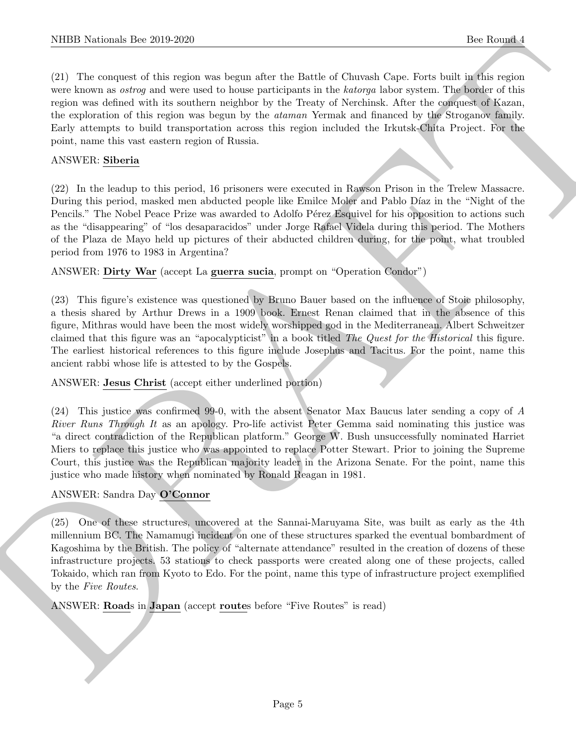(21) The conquest of this region was begun after the Battle of Chuvash Cape. Forts built in this region were known as *ostrog* and were used to house participants in the *katorga* labor system. The border of this region was defined with its southern neighbor by the Treaty of Nerchinsk. After the conquest of Kazan, the exploration of this region was begun by the ataman Yermak and financed by the Stroganov family. Early attempts to build transportation across this region included the Irkutsk-Chita Project. For the point, name this vast eastern region of Russia.

#### ANSWER: Siberia

(22) In the leadup to this period, 16 prisoners were executed in Rawson Prison in the Trelew Massacre. During this period, masked men abducted people like Emilce Moler and Pablo Díaz in the "Night of the Pencils." The Nobel Peace Prize was awarded to Adolfo Pérez Esquivel for his opposition to actions such as the "disappearing" of "los desaparacidos" under Jorge Rafael Videla during this period. The Mothers of the Plaza de Mayo held up pictures of their abducted children during, for the point, what troubled period from 1976 to 1983 in Argentina?

ANSWER: Dirty War (accept La guerra sucia, prompt on "Operation Condor")

(23) This figure's existence was questioned by Bruno Bauer based on the influence of Stoic philosophy, a thesis shared by Arthur Drews in a 1909 book. Ernest Renan claimed that in the absence of this figure, Mithras would have been the most widely worshipped god in the Mediterranean. Albert Schweitzer claimed that this figure was an "apocalypticist" in a book titled The Quest for the Historical this figure. The earliest historical references to this figure include Josephus and Tacitus. For the point, name this ancient rabbi whose life is attested to by the Gospels.

ANSWER: Jesus Christ (accept either underlined portion)

(24) This justice was confirmed 99-0, with the absent Senator Max Baucus later sending a copy of A River Runs Through It as an apology. Pro-life activist Peter Gemma said nominating this justice was "a direct contradiction of the Republican platform." George W. Bush unsuccessfully nominated Harriet Miers to replace this justice who was appointed to replace Potter Stewart. Prior to joining the Supreme Court, this justice was the Republican majority leader in the Arizona Senate. For the point, name this justice who made history when nominated by Ronald Reagan in 1981.

## ANSWER: Sandra Day O'Connor

NIBB Noticeals line 200 200<br>
(2) This conserts of the couple are because of the Battle of Character Section Fort terms of the conserver of the conserver of the section of the section of the section of the section of the s (25) One of these structures, uncovered at the Sannai-Maruyama Site, was built as early as the 4th millennium BC. The Namamugi incident on one of these structures sparked the eventual bombardment of Kagoshima by the British. The policy of "alternate attendance" resulted in the creation of dozens of these infrastructure projects. 53 stations to check passports were created along one of these projects, called Tokaido, which ran from Kyoto to Edo. For the point, name this type of infrastructure project exemplified by the Five Routes.

ANSWER: Roads in Japan (accept routes before "Five Routes" is read)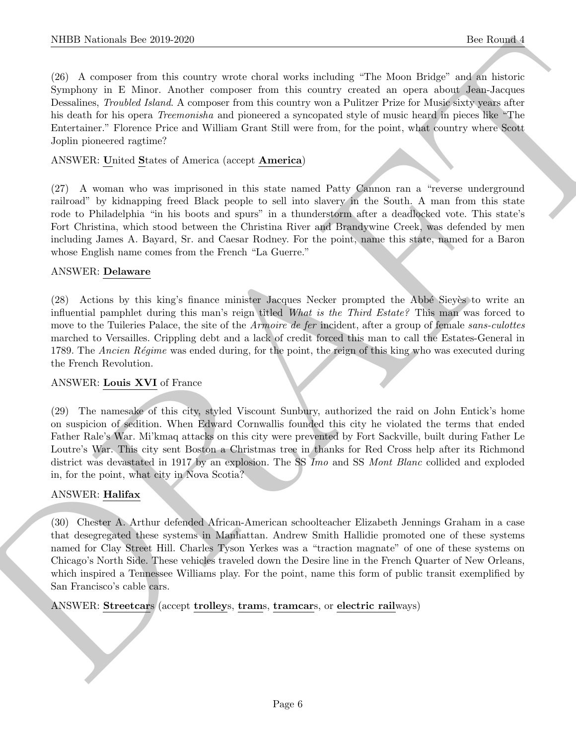(26) A composer from this country wrote choral works including "The Moon Bridge" and an historic Symphony in E Minor. Another composer from this country created an opera about Jean-Jacques Dessalines, *Troubled Island*. A composer from this country won a Pulitzer Prize for Music sixty years after his death for his opera Treemonisha and pioneered a syncopated style of music heard in pieces like "The Entertainer." Florence Price and William Grant Still were from, for the point, what country where Scott Joplin pioneered ragtime?

## ANSWER: United States of America (accept America)

(27) A woman who was imprisoned in this state named Patty Cannon ran a "reverse underground railroad" by kidnapping freed Black people to sell into slavery in the South. A man from this state rode to Philadelphia "in his boots and spurs" in a thunderstorm after a deadlocked vote. This state's Fort Christina, which stood between the Christina River and Brandywine Creek, was defended by men including James A. Bayard, Sr. and Caesar Rodney. For the point, name this state, named for a Baron whose English name comes from the French "La Guerre."

## ANSWER: Delaware

(28) Actions by this king's finance minister Jacques Necker prompted the Abbé Sieyès to write an influential pamphlet during this man's reign titled What is the Third Estate? This man was forced to move to the Tuileries Palace, the site of the *Armoire de fer incident*, after a group of female sans-culottes marched to Versailles. Crippling debt and a lack of credit forced this man to call the Estates-General in 1789. The Ancien Régime was ended during, for the point, the reign of this king who was executed during the French Revolution.

## ANSWER: Louis XVI of France

(29) The namesake of this city, styled Viscount Sunbury, authorized the raid on John Entick's home on suspicion of sedition. When Edward Cornwallis founded this city he violated the terms that ended Father Rale's War. Mi'kmaq attacks on this city were prevented by Fort Sackville, built during Father Le Loutre's War. This city sent Boston a Christmas tree in thanks for Red Cross help after its Richmond district was devastated in 1917 by an explosion. The SS Imo and SS Mont Blanc collided and exploded in, for the point, what city in Nova Scotia?

## ANSWER: Halifax

NIBB Notional- line 2019-2020<br>
(3) A source from the condity votel which was including "The Most Solicy" and 20<br>
(3) A source from the condition of the condition of the condition of<br>
Symphony is F. Vience, A source from t (30) Chester A. Arthur defended African-American schoolteacher Elizabeth Jennings Graham in a case that desegregated these systems in Manhattan. Andrew Smith Hallidie promoted one of these systems named for Clay Street Hill. Charles Tyson Yerkes was a "traction magnate" of one of these systems on Chicago's North Side. These vehicles traveled down the Desire line in the French Quarter of New Orleans, which inspired a Tennessee Williams play. For the point, name this form of public transit exemplified by San Francisco's cable cars.

ANSWER: Streetcars (accept trolleys, trams, tramcars, or electric railways)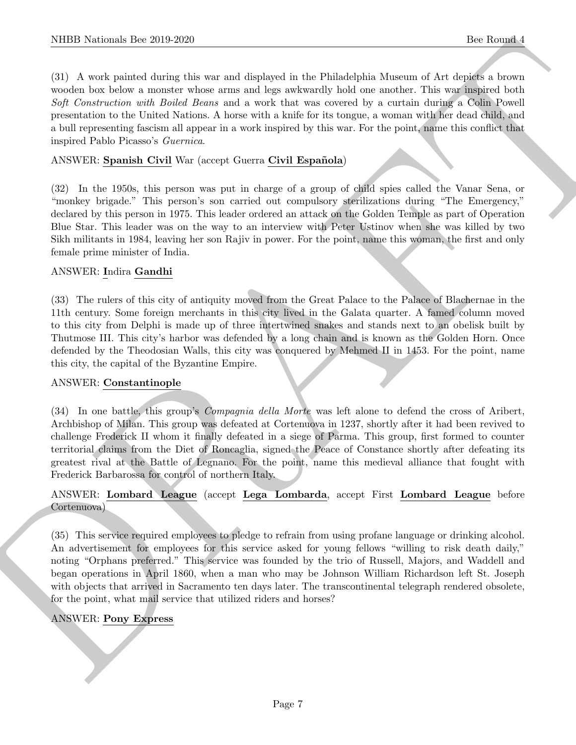(31) A work painted during this war and displayed in the Philadelphia Museum of Art depicts a brown wooden box below a monster whose arms and legs awkwardly hold one another. This war inspired both Soft Construction with Boiled Beans and a work that was covered by a curtain during a Colin Powell presentation to the United Nations. A horse with a knife for its tongue, a woman with her dead child, and a bull representing fascism all appear in a work inspired by this war. For the point, name this conflict that inspired Pablo Picasso's Guernica.

## ANSWER: Spanish Civil War (accept Guerra Civil Española)

(32) In the 1950s, this person was put in charge of a group of child spies called the Vanar Sena, or "monkey brigade." This person's son carried out compulsory sterilizations during "The Emergency," declared by this person in 1975. This leader ordered an attack on the Golden Temple as part of Operation Blue Star. This leader was on the way to an interview with Peter Ustinov when she was killed by two Sikh militants in 1984, leaving her son Rajiv in power. For the point, name this woman, the first and only female prime minister of India.

## ANSWER: Indira Gandhi

(33) The rulers of this city of antiquity moved from the Great Palace to the Palace of Blachernae in the 11th century. Some foreign merchants in this city lived in the Galata quarter. A famed column moved to this city from Delphi is made up of three intertwined snakes and stands next to an obelisk built by Thutmose III. This city's harbor was defended by a long chain and is known as the Golden Horn. Once defended by the Theodosian Walls, this city was conquered by Mehmed II in 1453. For the point, name this city, the capital of the Byzantine Empire.

## ANSWER: Constantinople

(34) In one battle, this group's Compagnia della Morte was left alone to defend the cross of Aribert, Archbishop of Milan. This group was defeated at Cortenuova in 1237, shortly after it had been revived to challenge Frederick II whom it finally defeated in a siege of Parma. This group, first formed to counter territorial claims from the Diet of Roncaglia, signed the Peace of Constance shortly after defeating its greatest rival at the Battle of Legnano. For the point, name this medieval alliance that fought with Frederick Barbarossa for control of northern Italy.

## ANSWER: Lombard League (accept Lega Lombarda, accept First Lombard League before Cortenuova)

NIEED Noticinals line 2019.2020<br>
(3) A weak mass of the statistics was east displayed at the Philadelah Marson of Act desires a convenience with the statistics of the desired at the statistics of the statistics of the sta (35) This service required employees to pledge to refrain from using profane language or drinking alcohol. An advertisement for employees for this service asked for young fellows "willing to risk death daily," noting "Orphans preferred." This service was founded by the trio of Russell, Majors, and Waddell and began operations in April 1860, when a man who may be Johnson William Richardson left St. Joseph with objects that arrived in Sacramento ten days later. The transcontinental telegraph rendered obsolete, for the point, what mail service that utilized riders and horses?

## ANSWER: Pony Express